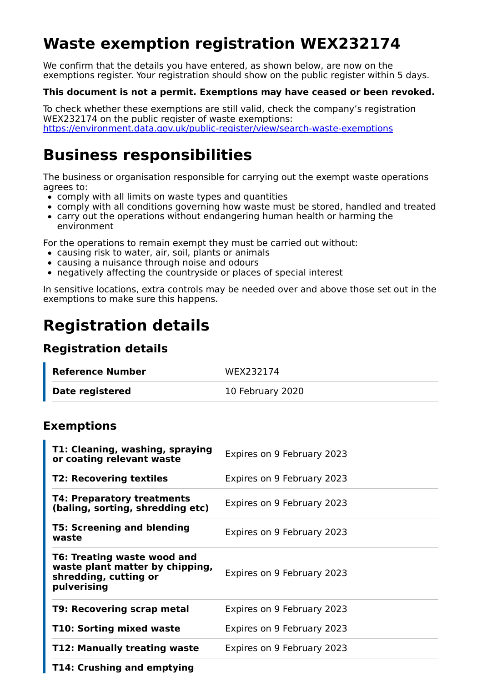# **Waste exemption registration WEX232174**

We confirm that the details you have entered, as shown below, are now on the exemptions register. Your registration should show on the public register within 5 days.

#### **This document is not a permit. Exemptions may have ceased or been revoked.**

To check whether these exemptions are still valid, check the company's registration WEX232174 on the public register of waste exemptions: https://environment.data.gov.uk/public-register/view/search-waste-exemptions

## **Business responsibilities**

The business or organisation responsible for carrying out the exempt waste operations agrees to:

- comply with all limits on waste types and quantities
- comply with all conditions governing how waste must be stored, handled and treated
- carry out the operations without endangering human health or harming the environment

For the operations to remain exempt they must be carried out without:

- causing risk to water, air, soil, plants or animals
- causing a nuisance through noise and odours
- negatively affecting the countryside or places of special interest

In sensitive locations, extra controls may be needed over and above those set out in the exemptions to make sure this happens.

## **Registration details**

### **Registration details**

| Reference Number | WEX232174        |
|------------------|------------------|
| Date registered  | 10 February 2020 |

### **Exemptions**

| T1: Cleaning, washing, spraying<br>or coating relevant waste                                           | Expires on 9 February 2023 |
|--------------------------------------------------------------------------------------------------------|----------------------------|
| <b>T2: Recovering textiles</b>                                                                         | Expires on 9 February 2023 |
| T4: Preparatory treatments<br>(baling, sorting, shredding etc)                                         | Expires on 9 February 2023 |
| <b>T5: Screening and blending</b><br>waste                                                             | Expires on 9 February 2023 |
| T6: Treating waste wood and<br>waste plant matter by chipping,<br>shredding, cutting or<br>pulverising | Expires on 9 February 2023 |
| T9: Recovering scrap metal                                                                             | Expires on 9 February 2023 |
| T10: Sorting mixed waste                                                                               | Expires on 9 February 2023 |
| T12: Manually treating waste                                                                           | Expires on 9 February 2023 |
| T14: Crushing and emptying                                                                             |                            |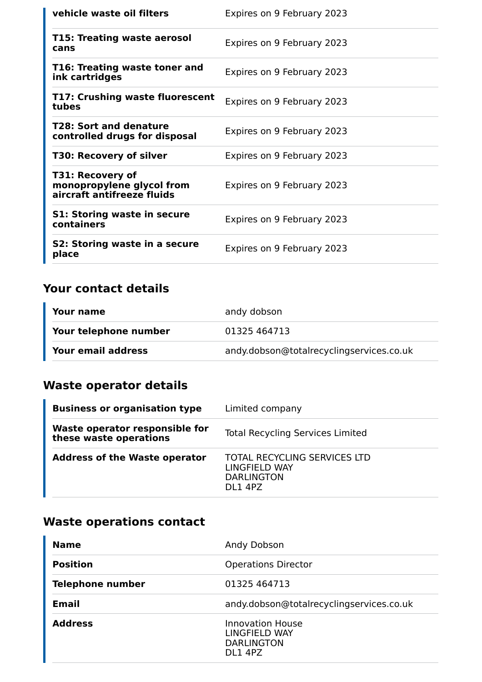| vehicle waste oil filters                                                   | Expires on 9 February 2023 |
|-----------------------------------------------------------------------------|----------------------------|
| T15: Treating waste aerosol<br>cans                                         | Expires on 9 February 2023 |
| T16: Treating waste toner and<br>ink cartridges                             | Expires on 9 February 2023 |
| T17: Crushing waste fluorescent<br>tubes                                    | Expires on 9 February 2023 |
| T28: Sort and denature<br>controlled drugs for disposal                     | Expires on 9 February 2023 |
| <b>T30: Recovery of silver</b>                                              | Expires on 9 February 2023 |
| T31: Recovery of<br>monopropylene glycol from<br>aircraft antifreeze fluids | Expires on 9 February 2023 |
| <b>S1: Storing waste in secure</b><br>containers                            | Expires on 9 February 2023 |
| S2: Storing waste in a secure<br>place                                      | Expires on 9 February 2023 |

## **Your contact details**

| Your name             | andy dobson                              |
|-----------------------|------------------------------------------|
| Your telephone number | 01325 464713                             |
| Your email address    | andy.dobson@totalrecyclingservices.co.uk |

## **Waste operator details**

| <b>Business or organisation type</b>                     | Limited company                                                               |
|----------------------------------------------------------|-------------------------------------------------------------------------------|
| Waste operator responsible for<br>these waste operations | <b>Total Recycling Services Limited</b>                                       |
| <b>Address of the Waste operator</b>                     | TOTAL RECYCLING SERVICES LTD<br>LINGFIELD WAY<br><b>DARLINGTON</b><br>DI 14PZ |

## **Waste operations contact**

| <b>Name</b>             | Andy Dobson                                                              |
|-------------------------|--------------------------------------------------------------------------|
| <b>Position</b>         | <b>Operations Director</b>                                               |
| <b>Telephone number</b> | 01325 464713                                                             |
| <b>Email</b>            | andy.dobson@totalrecyclingservices.co.uk                                 |
| <b>Address</b>          | <b>Innovation House</b><br>LINGFIELD WAY<br><b>DARLINGTON</b><br>DL1 4PZ |